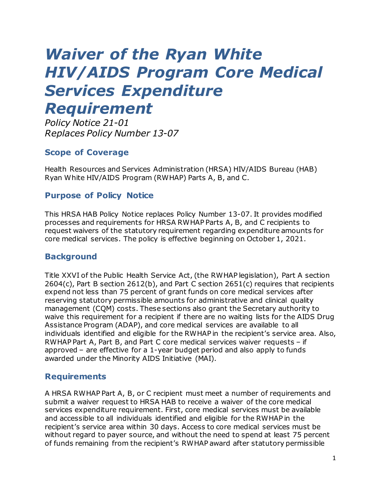# *Waiver of the Ryan White HIV/AIDS Program Core Medical Services Expenditure Requirement*

*Policy Notice 21-01 Replaces Policy Number 13-07*

# **Scope of Coverage**

Health Resources and Services Administration (HRSA) HIV/AIDS Bureau (HAB) Ryan White HIV/AIDS Program (RWHAP) Parts A, B, and C.

## **Purpose of Policy Notice**

This HRSA HAB Policy Notice replaces Policy Number 13-07. It provides modified processes and requirements for HRSA RWHAP Parts A, B, and C recipients to request waivers of the statutory requirement regarding expenditure amounts for core medical services. The policy is effective beginning on October 1, 2021.

## **Background**

Title XXVI of the Public Health Service Act, (the RWHAP legislation), Part A section 2604(c), Part B section 2612(b), and Part C section 2651(c) requires that recipients expend not less than 75 percent of grant funds on core medical services after reserving statutory permissible amounts for administrative and clinical quality management (CQM) costs. These sections also grant the Secretary authority to waive this requirement for a recipient if there are no waiting lists for the AIDS Drug Assistance Program (ADAP), and core medical services are available to all individuals identified and eligible for the RWHAP in the recipient's service area. Also, RWHAP Part A, Part B, and Part C core medical services waiver requests – if approved – are effective for a 1-year budget period and also apply to funds awarded under the Minority AIDS Initiative (MAI).

## **Requirements**

A HRSA RWHAP Part A, B, or C recipient must meet a number of requirements and submit a waiver request to HRSA HAB to receive a waiver of the core medical services expenditure requirement. First, core medical services must be available and accessible to all individuals identified and eligible for the RWHAP in the recipient's service area within 30 days. Access to core medical services must be without regard to payer source, and without the need to spend at least 75 percent of funds remaining from the recipient's RWHAP award after statutory permissible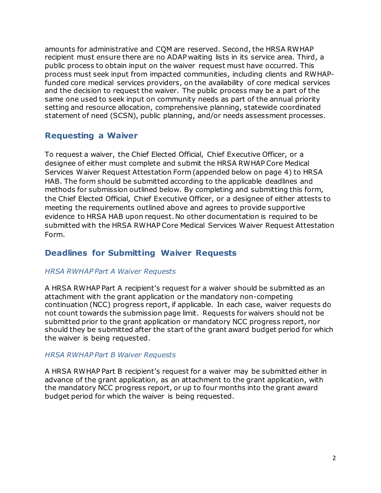amounts for administrative and CQM are reserved. Second, the HRSA RWHAP recipient must ensure there are no ADAP waiting lists in its service area. Third, a public process to obtain input on the waiver request must have occurred. This process must seek input from impacted communities, including clients and RWHAPfunded core medical services providers, on the availability of core medical services and the decision to request the waiver. The public process may be a part of the same one used to seek input on community needs as part of the annual priority setting and resource allocation, comprehensive planning, statewide coordinated statement of need (SCSN), public planning, and/or needs assessment processes.

# **Requesting a Waiver**

To request a waiver, the Chief Elected Official, Chief Executive Officer, or a designee of either must complete and submit the HRSA RWHAP Core Medical Services Waiver Request Attestation Form (appended below on page 4) to HRSA HAB. The form should be submitted according to the applicable deadlines and methods for submission outlined below. By completing and submitting this form, the Chief Elected Official, Chief Executive Officer, or a designee of either attests to meeting the requirements outlined above and agrees to provide supportive evidence to HRSA HAB upon request.No other documentation is required to be submitted with the HRSA RWHAP Core Medical Services Waiver Request Attestation Form.

# **Deadlines for Submitting Waiver Requests**

#### *HRSA RWHAP Part A Waiver Requests*

A HRSA RWHAP Part A recipient's request for a waiver should be submitted as an attachment with the grant application or the mandatory non-competing continuation (NCC) progress report, if applicable. In each case, waiver requests do not count towards the submission page limit. Requests for waivers should not be submitted prior to the grant application or mandatory NCC progress report, nor should they be submitted after the start of the grant award budget period for which the waiver is being requested.

#### *HRSA RWHAP Part B Waiver Requests*

A HRSA RWHAP Part B recipient's request for a waiver may be submitted either in advance of the grant application, as an attachment to the grant application, with the mandatory NCC progress report, or up to four months into the grant award budget period for which the waiver is being requested.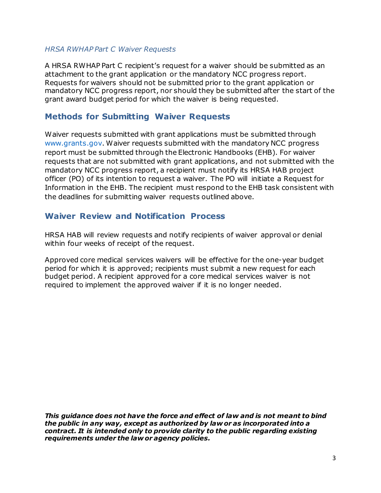#### *HRSA RWHAP Part C Waiver Requests*

A HRSA RWHAP Part C recipient's request for a waiver should be submitted as an attachment to the grant application or the mandatory NCC progress report. Requests for waivers should not be submitted prior to the grant application or mandatory NCC progress report, nor should they be submitted after the start of the grant award budget period for which the waiver is being requested.

# **Methods for Submitting Waiver Requests**

Waiver requests submitted with grant applications must be submitted through [www.grants.gov](https://www.grants.gov/). Waiver requests submitted with the mandatory NCC progress report must be submitted through the Electronic Handbooks (EHB). For waiver requests that are not submitted with grant applications, and not submitted with the mandatory NCC progress report, a recipient must notify its HRSA HAB project officer (PO) of its intention to request a waiver. The PO will initiate a Request for Information in the EHB. The recipient must respond to the EHB task consistent with the deadlines for submitting waiver requests outlined above.

## **Waiver Review and Notification Process**

HRSA HAB will review requests and notify recipients of waiver approval or denial within four weeks of receipt of the request.

Approved core medical services waivers will be effective for the one-year budget period for which it is approved; recipients must submit a new request for each budget period. A recipient approved for a core medical services waiver is not required to implement the approved waiver if it is no longer needed.

*This guidance does not have the force and effect of law and is not meant to bind the public in any way, except as authorized by law or as incorporated into a contract. It is intended only to provide clarity to the public regarding existing requirements under the law or agency policies.*